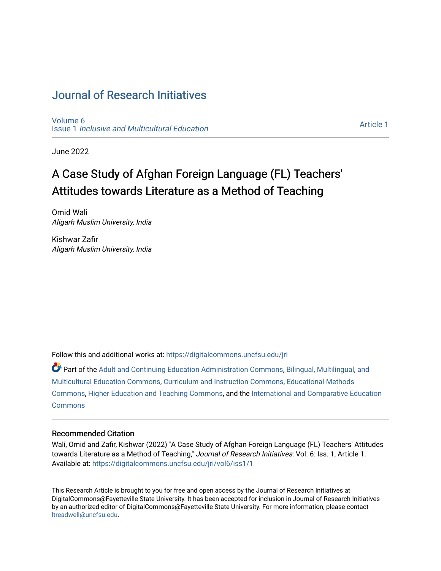# [Journal of Research Initiatives](https://digitalcommons.uncfsu.edu/jri)

[Volume 6](https://digitalcommons.uncfsu.edu/jri/vol6) Issue 1 [Inclusive and Multicultural Education](https://digitalcommons.uncfsu.edu/jri/vol6/iss1) 

[Article 1](https://digitalcommons.uncfsu.edu/jri/vol6/iss1/1) 

June 2022

# A Case Study of Afghan Foreign Language (FL) Teachers' Attitudes towards Literature as a Method of Teaching

Omid Wali Aligarh Muslim University, India

Kishwar Zafir Aligarh Muslim University, India

Follow this and additional works at: [https://digitalcommons.uncfsu.edu/jri](https://digitalcommons.uncfsu.edu/jri?utm_source=digitalcommons.uncfsu.edu%2Fjri%2Fvol6%2Fiss1%2F1&utm_medium=PDF&utm_campaign=PDFCoverPages) 

Part of the [Adult and Continuing Education Administration Commons](https://network.bepress.com/hgg/discipline/789?utm_source=digitalcommons.uncfsu.edu%2Fjri%2Fvol6%2Fiss1%2F1&utm_medium=PDF&utm_campaign=PDFCoverPages), [Bilingual, Multilingual, and](https://network.bepress.com/hgg/discipline/785?utm_source=digitalcommons.uncfsu.edu%2Fjri%2Fvol6%2Fiss1%2F1&utm_medium=PDF&utm_campaign=PDFCoverPages)  [Multicultural Education Commons,](https://network.bepress.com/hgg/discipline/785?utm_source=digitalcommons.uncfsu.edu%2Fjri%2Fvol6%2Fiss1%2F1&utm_medium=PDF&utm_campaign=PDFCoverPages) [Curriculum and Instruction Commons,](https://network.bepress.com/hgg/discipline/786?utm_source=digitalcommons.uncfsu.edu%2Fjri%2Fvol6%2Fiss1%2F1&utm_medium=PDF&utm_campaign=PDFCoverPages) [Educational Methods](https://network.bepress.com/hgg/discipline/1227?utm_source=digitalcommons.uncfsu.edu%2Fjri%2Fvol6%2Fiss1%2F1&utm_medium=PDF&utm_campaign=PDFCoverPages) [Commons](https://network.bepress.com/hgg/discipline/1227?utm_source=digitalcommons.uncfsu.edu%2Fjri%2Fvol6%2Fiss1%2F1&utm_medium=PDF&utm_campaign=PDFCoverPages), [Higher Education and Teaching Commons](https://network.bepress.com/hgg/discipline/806?utm_source=digitalcommons.uncfsu.edu%2Fjri%2Fvol6%2Fiss1%2F1&utm_medium=PDF&utm_campaign=PDFCoverPages), and the [International and Comparative Education](https://network.bepress.com/hgg/discipline/797?utm_source=digitalcommons.uncfsu.edu%2Fjri%2Fvol6%2Fiss1%2F1&utm_medium=PDF&utm_campaign=PDFCoverPages) [Commons](https://network.bepress.com/hgg/discipline/797?utm_source=digitalcommons.uncfsu.edu%2Fjri%2Fvol6%2Fiss1%2F1&utm_medium=PDF&utm_campaign=PDFCoverPages)

### Recommended Citation

Wali, Omid and Zafir, Kishwar (2022) "A Case Study of Afghan Foreign Language (FL) Teachers' Attitudes towards Literature as a Method of Teaching," Journal of Research Initiatives: Vol. 6: Iss. 1, Article 1. Available at: [https://digitalcommons.uncfsu.edu/jri/vol6/iss1/1](https://digitalcommons.uncfsu.edu/jri/vol6/iss1/1?utm_source=digitalcommons.uncfsu.edu%2Fjri%2Fvol6%2Fiss1%2F1&utm_medium=PDF&utm_campaign=PDFCoverPages) 

This Research Article is brought to you for free and open access by the Journal of Research Initiatives at DigitalCommons@Fayetteville State University. It has been accepted for inclusion in Journal of Research Initiatives by an authorized editor of DigitalCommons@Fayetteville State University. For more information, please contact [ltreadwell@uncfsu.edu](mailto:ltreadwell@uncfsu.edu).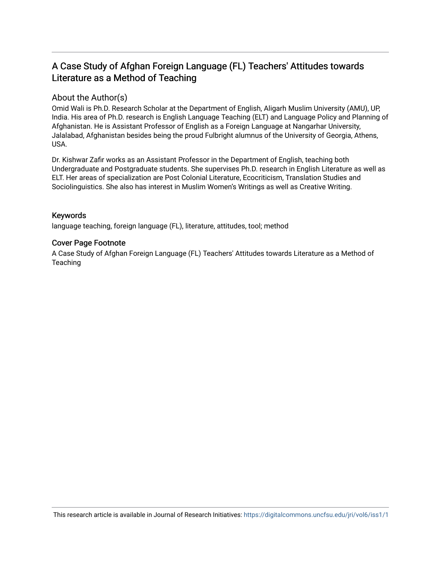# A Case Study of Afghan Foreign Language (FL) Teachers' Attitudes towards Literature as a Method of Teaching

## About the Author(s)

Omid Wali is Ph.D. Research Scholar at the Department of English, Aligarh Muslim University (AMU), UP, India. His area of Ph.D. research is English Language Teaching (ELT) and Language Policy and Planning of Afghanistan. He is Assistant Professor of English as a Foreign Language at Nangarhar University, Jalalabad, Afghanistan besides being the proud Fulbright alumnus of the University of Georgia, Athens, USA.

Dr. Kishwar Zafir works as an Assistant Professor in the Department of English, teaching both Undergraduate and Postgraduate students. She supervises Ph.D. research in English Literature as well as ELT. Her areas of specialization are Post Colonial Literature, Ecocriticism, Translation Studies and Sociolinguistics. She also has interest in Muslim Women's Writings as well as Creative Writing.

### Keywords

language teaching, foreign language (FL), literature, attitudes, tool; method

### Cover Page Footnote

A Case Study of Afghan Foreign Language (FL) Teachers' Attitudes towards Literature as a Method of **Teaching**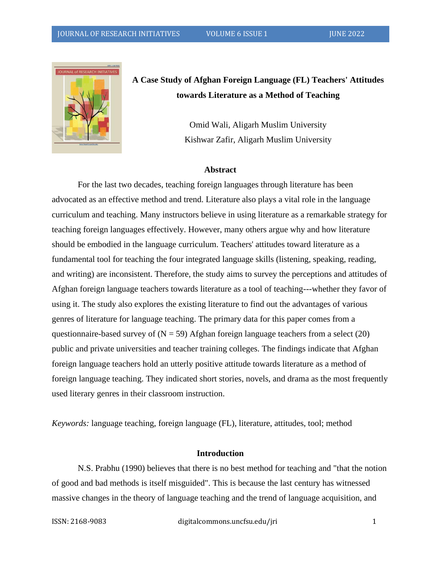

**A Case Study of Afghan Foreign Language (FL) Teachers' Attitudes towards Literature as a Method of Teaching**

> Omid Wali, Aligarh Muslim University Kishwar Zafir, Aligarh Muslim University

#### **Abstract**

For the last two decades, teaching foreign languages through literature has been advocated as an effective method and trend. Literature also plays a vital role in the language curriculum and teaching. Many instructors believe in using literature as a remarkable strategy for teaching foreign languages effectively. However, many others argue why and how literature should be embodied in the language curriculum. Teachers' attitudes toward literature as a fundamental tool for teaching the four integrated language skills (listening, speaking, reading, and writing) are inconsistent. Therefore, the study aims to survey the perceptions and attitudes of Afghan foreign language teachers towards literature as a tool of teaching---whether they favor of using it. The study also explores the existing literature to find out the advantages of various genres of literature for language teaching. The primary data for this paper comes from a questionnaire-based survey of  $(N = 59)$  Afghan foreign language teachers from a select (20) public and private universities and teacher training colleges. The findings indicate that Afghan foreign language teachers hold an utterly positive attitude towards literature as a method of foreign language teaching. They indicated short stories, novels, and drama as the most frequently used literary genres in their classroom instruction.

*Keywords:* language teaching, foreign language (FL), literature, attitudes, tool; method

### **Introduction**

N.S. Prabhu (1990) believes that there is no best method for teaching and "that the notion of good and bad methods is itself misguided". This is because the last century has witnessed massive changes in the theory of language teaching and the trend of language acquisition, and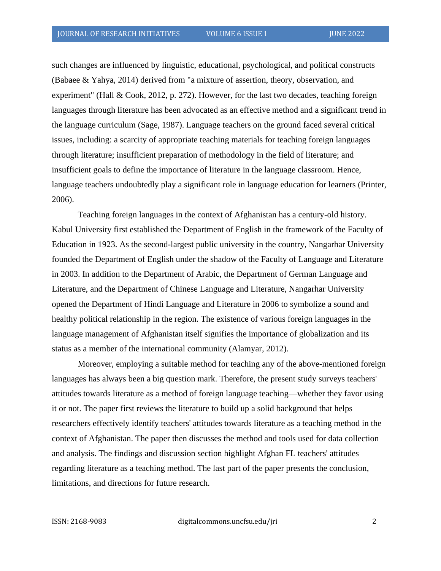such changes are influenced by linguistic, educational, psychological, and political constructs (Babaee & Yahya, 2014) derived from "a mixture of assertion, theory, observation, and experiment" (Hall & Cook, 2012, p. 272). However, for the last two decades, teaching foreign languages through literature has been advocated as an effective method and a significant trend in the language curriculum (Sage, 1987). Language teachers on the ground faced several critical issues, including: a scarcity of appropriate teaching materials for teaching foreign languages through literature; insufficient preparation of methodology in the field of literature; and insufficient goals to define the importance of literature in the language classroom. Hence, language teachers undoubtedly play a significant role in language education for learners (Printer, 2006).

Teaching foreign languages in the context of Afghanistan has a century-old history. Kabul University first established the Department of English in the framework of the Faculty of Education in 1923. As the second-largest public university in the country, Nangarhar University founded the Department of English under the shadow of the Faculty of Language and Literature in 2003. In addition to the Department of Arabic, the Department of German Language and Literature, and the Department of Chinese Language and Literature, Nangarhar University opened the Department of Hindi Language and Literature in 2006 to symbolize a sound and healthy political relationship in the region. The existence of various foreign languages in the language management of Afghanistan itself signifies the importance of globalization and its status as a member of the international community (Alamyar, 2012).

Moreover, employing a suitable method for teaching any of the above-mentioned foreign languages has always been a big question mark. Therefore, the present study surveys teachers' attitudes towards literature as a method of foreign language teaching—whether they favor using it or not. The paper first reviews the literature to build up a solid background that helps researchers effectively identify teachers' attitudes towards literature as a teaching method in the context of Afghanistan. The paper then discusses the method and tools used for data collection and analysis. The findings and discussion section highlight Afghan FL teachers' attitudes regarding literature as a teaching method. The last part of the paper presents the conclusion, limitations, and directions for future research.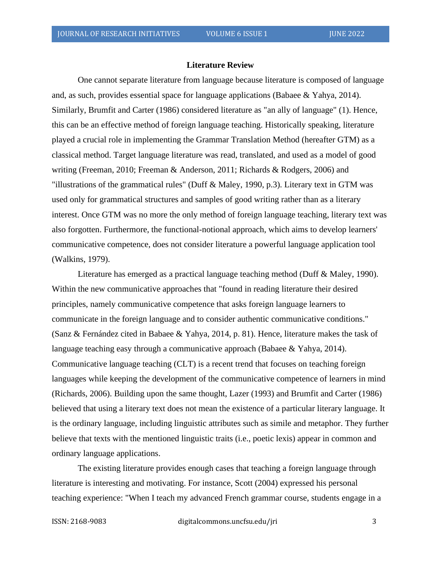#### **Literature Review**

One cannot separate literature from language because literature is composed of language and, as such, provides essential space for language applications (Babaee & Yahya, 2014). Similarly, Brumfit and Carter (1986) considered literature as "an ally of language" (1). Hence, this can be an effective method of foreign language teaching. Historically speaking, literature played a crucial role in implementing the Grammar Translation Method (hereafter GTM) as a classical method. Target language literature was read, translated, and used as a model of good writing (Freeman, 2010; Freeman & Anderson, 2011; Richards & Rodgers, 2006) and "illustrations of the grammatical rules" (Duff & Maley, 1990, p.3). Literary text in GTM was used only for grammatical structures and samples of good writing rather than as a literary interest. Once GTM was no more the only method of foreign language teaching, literary text was also forgotten. Furthermore, the functional-notional approach, which aims to develop learners' communicative competence, does not consider literature a powerful language application tool (Walkins, 1979).

Literature has emerged as a practical language teaching method (Duff & Maley, 1990). Within the new communicative approaches that "found in reading literature their desired principles, namely communicative competence that asks foreign language learners to communicate in the foreign language and to consider authentic communicative conditions." (Sanz & Fernández cited in Babaee & Yahya, 2014, p. 81). Hence, literature makes the task of language teaching easy through a communicative approach (Babaee & Yahya, 2014). Communicative language teaching (CLT) is a recent trend that focuses on teaching foreign languages while keeping the development of the communicative competence of learners in mind (Richards, 2006). Building upon the same thought, Lazer (1993) and Brumfit and Carter (1986) believed that using a literary text does not mean the existence of a particular literary language. It is the ordinary language, including linguistic attributes such as simile and metaphor. They further believe that texts with the mentioned linguistic traits (i.e., poetic lexis) appear in common and ordinary language applications.

The existing literature provides enough cases that teaching a foreign language through literature is interesting and motivating. For instance, Scott (2004) expressed his personal teaching experience: "When I teach my advanced French grammar course, students engage in a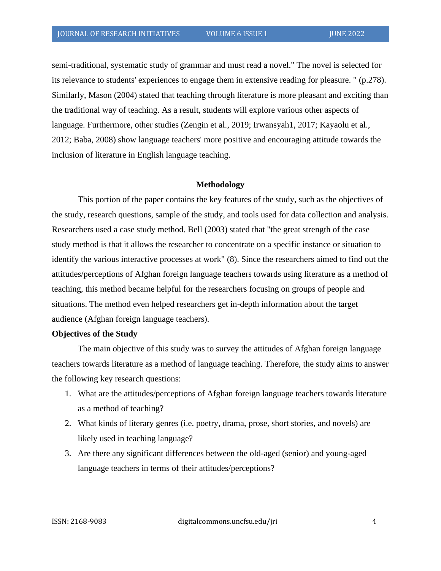semi-traditional, systematic study of grammar and must read a novel." The novel is selected for its relevance to students' experiences to engage them in extensive reading for pleasure. " (p.278). Similarly, Mason (2004) stated that teaching through literature is more pleasant and exciting than the traditional way of teaching. As a result, students will explore various other aspects of language. Furthermore, other studies (Zengin et al., 2019; Irwansyah1, 2017; Kayaolu et al., 2012; Baba, 2008) show language teachers' more positive and encouraging attitude towards the inclusion of literature in English language teaching.

#### **Methodology**

This portion of the paper contains the key features of the study, such as the objectives of the study, research questions, sample of the study, and tools used for data collection and analysis. Researchers used a case study method. Bell (2003) stated that "the great strength of the case study method is that it allows the researcher to concentrate on a specific instance or situation to identify the various interactive processes at work" (8). Since the researchers aimed to find out the attitudes/perceptions of Afghan foreign language teachers towards using literature as a method of teaching, this method became helpful for the researchers focusing on groups of people and situations. The method even helped researchers get in-depth information about the target audience (Afghan foreign language teachers).

### **Objectives of the Study**

The main objective of this study was to survey the attitudes of Afghan foreign language teachers towards literature as a method of language teaching. Therefore, the study aims to answer the following key research questions:

- 1. What are the attitudes/perceptions of Afghan foreign language teachers towards literature as a method of teaching?
- 2. What kinds of literary genres (i.e. poetry, drama, prose, short stories, and novels) are likely used in teaching language?
- 3. Are there any significant differences between the old-aged (senior) and young-aged language teachers in terms of their attitudes/perceptions?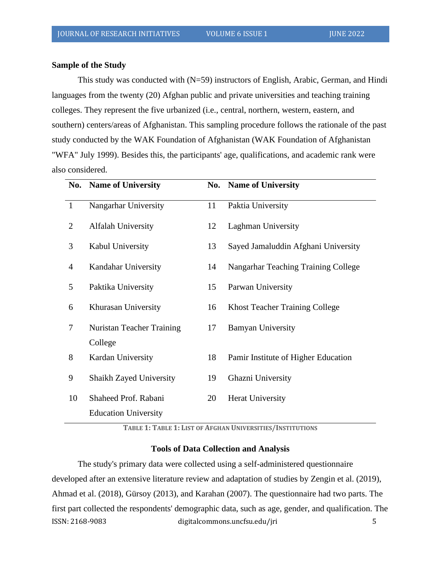### **Sample of the Study**

This study was conducted with (N=59) instructors of English, Arabic, German, and Hindi languages from the twenty (20) Afghan public and private universities and teaching training colleges. They represent the five urbanized (i.e., central, northern, western, eastern, and southern) centers/areas of Afghanistan. This sampling procedure follows the rationale of the past study conducted by the WAK Foundation of Afghanistan (WAK Foundation of Afghanistan "WFA" July 1999). Besides this, the participants' age, qualifications, and academic rank were also considered.

|                | No. Name of University         |    | No. Name of University                |
|----------------|--------------------------------|----|---------------------------------------|
| $\mathbf{1}$   | Nangarhar University           | 11 | Paktia University                     |
| $\overline{2}$ | <b>Alfalah University</b>      | 12 | <b>Laghman University</b>             |
| 3              | Kabul University               | 13 | Sayed Jamaluddin Afghani University   |
| 4              | Kandahar University            | 14 | Nangarhar Teaching Training College   |
| 5              | Paktika University             | 15 | Parwan University                     |
| 6              | Khurasan University            | 16 | <b>Khost Teacher Training College</b> |
| 7              | Nuristan Teacher Training      | 17 | <b>Bamyan University</b>              |
|                | College                        |    |                                       |
| 8              | Kardan University              | 18 | Pamir Institute of Higher Education   |
| 9              | <b>Shaikh Zayed University</b> | 19 | Ghazni University                     |
| 10             | Shaheed Prof. Rabani           | 20 | <b>Herat University</b>               |
|                | <b>Education University</b>    |    |                                       |

**TABLE 1: TABLE 1: LIST OF AFGHAN UNIVERSITIES/INSTITUTIONS**

### **Tools of Data Collection and Analysis**

ISSN: 2168-9083 digitalcommons.uncfsu.edu/jri 5 The study's primary data were collected using a self-administered questionnaire developed after an extensive literature review and adaptation of studies by Zengin et al. (2019), Ahmad et al. (2018), Gürsoy (2013), and Karahan (2007). The questionnaire had two parts. The first part collected the respondents' demographic data, such as age, gender, and qualification. The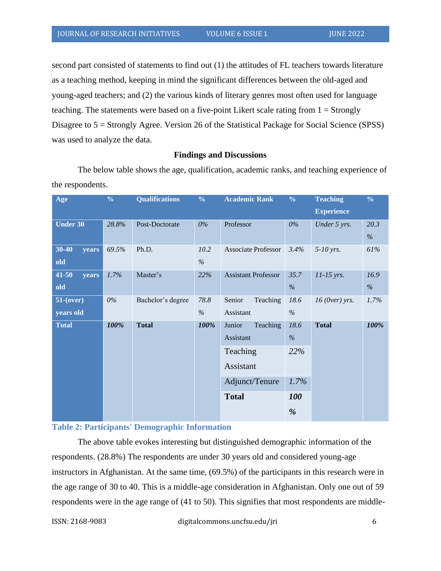second part consisted of statements to find out (1) the attitudes of FL teachers towards literature as a teaching method, keeping in mind the significant differences between the old-aged and young-aged teachers; and (2) the various kinds of literary genres most often used for language teaching. The statements were based on a five-point Likert scale rating from 1 = Strongly Disagree to 5 = Strongly Agree. Version 26 of the Statistical Package for Social Science (SPSS) was used to analyze the data.

### **Findings and Discussions**

The below table shows the age, qualification, academic ranks, and teaching experience of the respondents.

| Age             | $\frac{0}{0}$ | <b>Qualifications</b> | $\frac{0}{0}$ | <b>Academic Rank</b>       | $\frac{0}{0}$ | <b>Teaching</b>   | $\frac{0}{0}$ |
|-----------------|---------------|-----------------------|---------------|----------------------------|---------------|-------------------|---------------|
|                 |               |                       |               |                            |               | <b>Experience</b> |               |
| <b>Under 30</b> | 28.8%         | Post-Doctorate        | $0\%$         | Professor                  | $0\%$         | Under 5 yrs.      | 20.3          |
|                 |               |                       |               |                            |               |                   | $\%$          |
| 30-40<br>years  | 69.5%         | Ph.D.                 | 10.2          | Associate Professor        | 3.4%          | $5-10$ yrs.       | 61%           |
| old             |               |                       | $\%$          |                            |               |                   |               |
| 41-50<br>years  | 1.7%          | Master's              | 22%           | <b>Assistant Professor</b> | 35.7          | 11-15 yrs.        | 16.9          |
| old             |               |                       |               |                            | $\%$          |                   | $\%$          |
| $51$ -(over)    | 0%            | Bachelor's degree     | 78.8          | Senior<br>Teaching         | 18.6          | $16$ (Over) yrs.  | 1.7%          |
| years old       |               |                       | $\%$          | Assistant                  | $\%$          |                   |               |
| <b>Total</b>    | 100%          | <b>Total</b>          | 100%          | Junior<br>Teaching         | 18.6          | <b>Total</b>      | 100%          |
|                 |               |                       |               | Assistant                  | $\%$          |                   |               |
|                 |               |                       | Teaching      | 22%                        |               |                   |               |
|                 |               |                       | Assistant     |                            |               |                   |               |
|                 |               |                       |               | Adjunct/Tenure             | 1.7%          |                   |               |
|                 |               |                       |               | <b>Total</b>               | 100           |                   |               |
|                 |               |                       |               |                            | %             |                   |               |

### **Table 2: Participants' Demographic Information**

The above table evokes interesting but distinguished demographic information of the respondents. (28.8%) The respondents are under 30 years old and considered young-age instructors in Afghanistan. At the same time, (69.5%) of the participants in this research were in the age range of 30 to 40. This is a middle-age consideration in Afghanistan. Only one out of 59 respondents were in the age range of (41 to 50). This signifies that most respondents are middle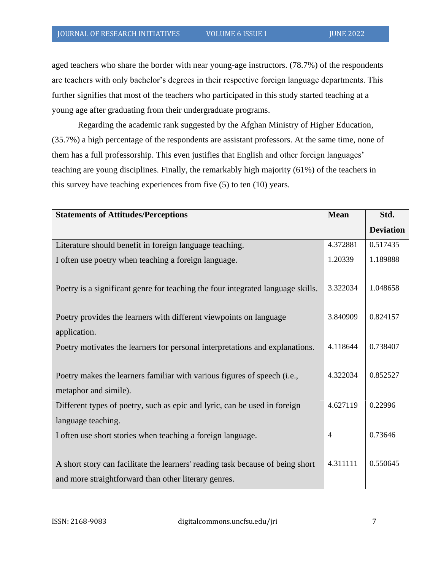aged teachers who share the border with near young-age instructors. (78.7%) of the respondents are teachers with only bachelor's degrees in their respective foreign language departments. This further signifies that most of the teachers who participated in this study started teaching at a young age after graduating from their undergraduate programs.

Regarding the academic rank suggested by the Afghan Ministry of Higher Education, (35.7%) a high percentage of the respondents are assistant professors. At the same time, none of them has a full professorship. This even justifies that English and other foreign languages' teaching are young disciplines. Finally, the remarkably high majority (61%) of the teachers in this survey have teaching experiences from five (5) to ten (10) years.

| <b>Statements of Attitudes/Perceptions</b>                                                                                             | <b>Mean</b>    | Std.             |
|----------------------------------------------------------------------------------------------------------------------------------------|----------------|------------------|
|                                                                                                                                        |                | <b>Deviation</b> |
| Literature should benefit in foreign language teaching.                                                                                | 4.372881       | 0.517435         |
| I often use poetry when teaching a foreign language.                                                                                   | 1.20339        | 1.189888         |
| Poetry is a significant genre for teaching the four integrated language skills.                                                        | 3.322034       | 1.048658         |
| Poetry provides the learners with different viewpoints on language                                                                     | 3.840909       | 0.824157         |
| application.                                                                                                                           |                |                  |
| Poetry motivates the learners for personal interpretations and explanations.                                                           | 4.118644       | 0.738407         |
| Poetry makes the learners familiar with various figures of speech (i.e.,<br>metaphor and simile).                                      | 4.322034       | 0.852527         |
| Different types of poetry, such as epic and lyric, can be used in foreign                                                              | 4.627119       | 0.22996          |
| language teaching.                                                                                                                     |                |                  |
| I often use short stories when teaching a foreign language.                                                                            | $\overline{4}$ | 0.73646          |
| A short story can facilitate the learners' reading task because of being short<br>and more straightforward than other literary genres. | 4.311111       | 0.550645         |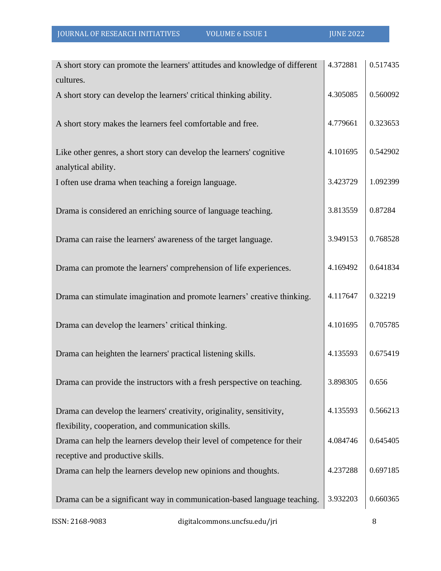| A short story can promote the learners' attitudes and knowledge of different | 4.372881 | 0.517435 |
|------------------------------------------------------------------------------|----------|----------|
| cultures.                                                                    |          |          |
| A short story can develop the learners' critical thinking ability.           | 4.305085 | 0.560092 |
|                                                                              |          |          |
| A short story makes the learners feel comfortable and free.                  | 4.779661 | 0.323653 |
|                                                                              |          |          |
| Like other genres, a short story can develop the learners' cognitive         | 4.101695 | 0.542902 |
| analytical ability.                                                          |          |          |
| I often use drama when teaching a foreign language.                          | 3.423729 | 1.092399 |
|                                                                              |          |          |
| Drama is considered an enriching source of language teaching.                | 3.813559 | 0.87284  |
|                                                                              |          |          |
| Drama can raise the learners' awareness of the target language.              | 3.949153 | 0.768528 |
|                                                                              |          |          |
| Drama can promote the learners' comprehension of life experiences.           | 4.169492 | 0.641834 |
|                                                                              | 4.117647 | 0.32219  |
| Drama can stimulate imagination and promote learners' creative thinking.     |          |          |
| Drama can develop the learners' critical thinking.                           | 4.101695 | 0.705785 |
|                                                                              |          |          |
| Drama can heighten the learners' practical listening skills.                 | 4.135593 | 0.675419 |
|                                                                              |          |          |
| Drama can provide the instructors with a fresh perspective on teaching.      | 3.898305 | 0.656    |
|                                                                              |          |          |
| Drama can develop the learners' creativity, originality, sensitivity,        | 4.135593 | 0.566213 |
| flexibility, cooperation, and communication skills.                          |          |          |
| Drama can help the learners develop their level of competence for their      | 4.084746 | 0.645405 |
| receptive and productive skills.                                             |          |          |
| Drama can help the learners develop new opinions and thoughts.               | 4.237288 | 0.697185 |
|                                                                              |          |          |
| Drama can be a significant way in communication-based language teaching.     | 3.932203 | 0.660365 |
|                                                                              |          |          |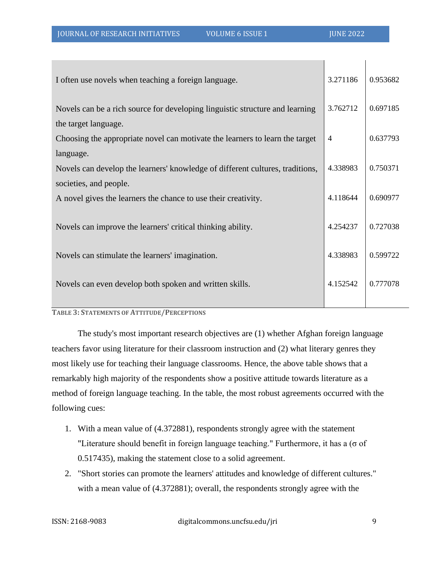| I often use novels when teaching a foreign language.                          | 3.271186       | 0.953682 |
|-------------------------------------------------------------------------------|----------------|----------|
| Novels can be a rich source for developing linguistic structure and learning  | 3.762712       | 0.697185 |
| the target language.                                                          |                |          |
| Choosing the appropriate novel can motivate the learners to learn the target  | $\overline{4}$ | 0.637793 |
| language.                                                                     |                |          |
| Novels can develop the learners' knowledge of different cultures, traditions, | 4.338983       | 0.750371 |
| societies, and people.                                                        |                |          |
| A novel gives the learners the chance to use their creativity.                | 4.118644       | 0.690977 |
|                                                                               |                |          |
| Novels can improve the learners' critical thinking ability.                   | 4.254237       | 0.727038 |
|                                                                               |                |          |
| Novels can stimulate the learners' imagination.                               | 4.338983       | 0.599722 |
|                                                                               |                |          |
| Novels can even develop both spoken and written skills.                       | 4.152542       | 0.777078 |
|                                                                               |                |          |
| <b>Lining, Communisment on American IDED CONSIGNIO</b>                        |                |          |

#### **TABLE 3: STATEMENTS OF ATTITUDE/PERCEPTIONS**

The study's most important research objectives are (1) whether Afghan foreign language teachers favor using literature for their classroom instruction and (2) what literary genres they most likely use for teaching their language classrooms. Hence, the above table shows that a remarkably high majority of the respondents show a positive attitude towards literature as a method of foreign language teaching. In the table, the most robust agreements occurred with the following cues:

- 1. With a mean value of (4.372881), respondents strongly agree with the statement "Literature should benefit in foreign language teaching." Furthermore, it has a (σ of 0.517435), making the statement close to a solid agreement.
- 2. "Short stories can promote the learners' attitudes and knowledge of different cultures." with a mean value of (4.372881); overall, the respondents strongly agree with the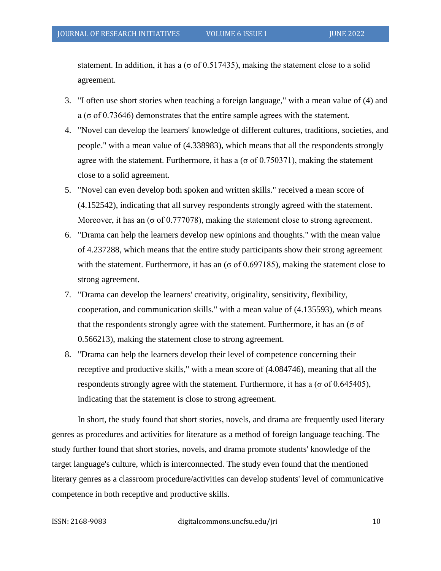statement. In addition, it has a ( $\sigma$  of 0.517435), making the statement close to a solid agreement.

- 3. "I often use short stories when teaching a foreign language," with a mean value of (4) and a ( $\sigma$  of 0.73646) demonstrates that the entire sample agrees with the statement.
- 4. "Novel can develop the learners' knowledge of different cultures, traditions, societies, and people." with a mean value of (4.338983), which means that all the respondents strongly agree with the statement. Furthermore, it has a ( $\sigma$  of 0.750371), making the statement close to a solid agreement.
- 5. "Novel can even develop both spoken and written skills." received a mean score of (4.152542), indicating that all survey respondents strongly agreed with the statement. Moreover, it has an ( $\sigma$  of 0.777078), making the statement close to strong agreement.
- 6. "Drama can help the learners develop new opinions and thoughts." with the mean value of 4.237288, which means that the entire study participants show their strong agreement with the statement. Furthermore, it has an ( $\sigma$  of 0.697185), making the statement close to strong agreement.
- 7. "Drama can develop the learners' creativity, originality, sensitivity, flexibility, cooperation, and communication skills." with a mean value of (4.135593), which means that the respondents strongly agree with the statement. Furthermore, it has an ( $\sigma$  of 0.566213), making the statement close to strong agreement.
- 8. "Drama can help the learners develop their level of competence concerning their receptive and productive skills," with a mean score of (4.084746), meaning that all the respondents strongly agree with the statement. Furthermore, it has a ( $\sigma$  of 0.645405), indicating that the statement is close to strong agreement.

In short, the study found that short stories, novels, and drama are frequently used literary genres as procedures and activities for literature as a method of foreign language teaching. The study further found that short stories, novels, and drama promote students' knowledge of the target language's culture, which is interconnected. The study even found that the mentioned literary genres as a classroom procedure/activities can develop students' level of communicative competence in both receptive and productive skills.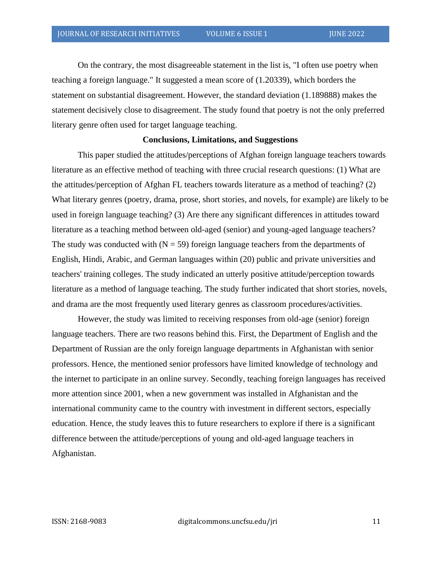On the contrary, the most disagreeable statement in the list is, "I often use poetry when teaching a foreign language." It suggested a mean score of (1.20339), which borders the statement on substantial disagreement. However, the standard deviation (1.189888) makes the statement decisively close to disagreement. The study found that poetry is not the only preferred literary genre often used for target language teaching.

#### **Conclusions, Limitations, and Suggestions**

This paper studied the attitudes/perceptions of Afghan foreign language teachers towards literature as an effective method of teaching with three crucial research questions: (1) What are the attitudes/perception of Afghan FL teachers towards literature as a method of teaching? (2) What literary genres (poetry, drama, prose, short stories, and novels, for example) are likely to be used in foreign language teaching? (3) Are there any significant differences in attitudes toward literature as a teaching method between old-aged (senior) and young-aged language teachers? The study was conducted with  $(N = 59)$  foreign language teachers from the departments of English, Hindi, Arabic, and German languages within (20) public and private universities and teachers' training colleges. The study indicated an utterly positive attitude/perception towards literature as a method of language teaching. The study further indicated that short stories, novels, and drama are the most frequently used literary genres as classroom procedures/activities.

However, the study was limited to receiving responses from old-age (senior) foreign language teachers. There are two reasons behind this. First, the Department of English and the Department of Russian are the only foreign language departments in Afghanistan with senior professors. Hence, the mentioned senior professors have limited knowledge of technology and the internet to participate in an online survey. Secondly, teaching foreign languages has received more attention since 2001, when a new government was installed in Afghanistan and the international community came to the country with investment in different sectors, especially education. Hence, the study leaves this to future researchers to explore if there is a significant difference between the attitude/perceptions of young and old-aged language teachers in Afghanistan.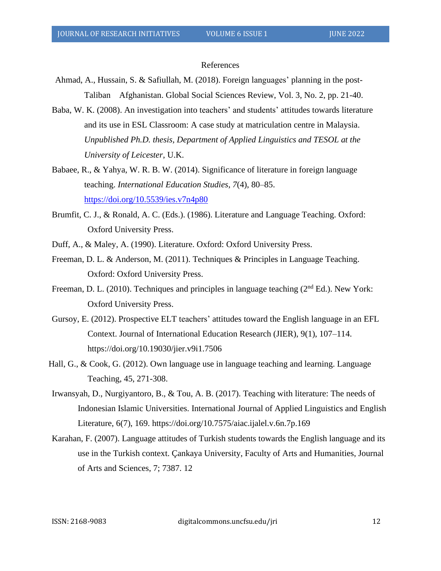### References

- Ahmad, A., Hussain, S. & Safiullah, M. (2018). Foreign languages' planning in the post-Taliban Afghanistan. Global Social Sciences Review, Vol. 3, No. 2, pp. 21-40.
- Baba, W. K. (2008). An investigation into teachers' and students' attitudes towards literature and its use in ESL Classroom: A case study at matriculation centre in Malaysia. *Unpublished Ph.D. thesis, Department of Applied Linguistics and TESOL at the University of Leicester*, U.K.
- Babaee, R., & Yahya, W. R. B. W. (2014). Significance of literature in foreign language teaching. *International Education Studies*, *7*(4), 80–85. <https://doi.org/10.5539/ies.v7n4p80>
- Brumfit, C. J., & Ronald, A. C. (Eds.). (1986). Literature and Language Teaching. Oxford: Oxford University Press.
- Duff, A., & Maley, A. (1990). Literature. Oxford: Oxford University Press.
- Freeman, D. L. & Anderson, M. (2011). Techniques & Principles in Language Teaching. Oxford: Oxford University Press.
- Freeman, D. L. (2010). Techniques and principles in language teaching (2<sup>nd</sup> Ed.). New York: Oxford University Press.
- Gursoy, E. (2012). Prospective ELT teachers' attitudes toward the English language in an EFL Context. Journal of International Education Research (JIER), 9(1), 107–114. https://doi.org/10.19030/jier.v9i1.7506
- Hall, G., & Cook, G. (2012). Own language use in language teaching and learning. Language Teaching, 45, 271-308.
- Irwansyah, D., Nurgiyantoro, B., & Tou, A. B. (2017). Teaching with literature: The needs of Indonesian Islamic Universities. International Journal of Applied Linguistics and English Literature, 6(7), 169. https://doi.org/10.7575/aiac.ijalel.v.6n.7p.169
- Karahan, F. (2007). Language attitudes of Turkish students towards the English language and its use in the Turkish context. Çankaya University, Faculty of Arts and Humanities, Journal of Arts and Sciences, 7; 7387. 12